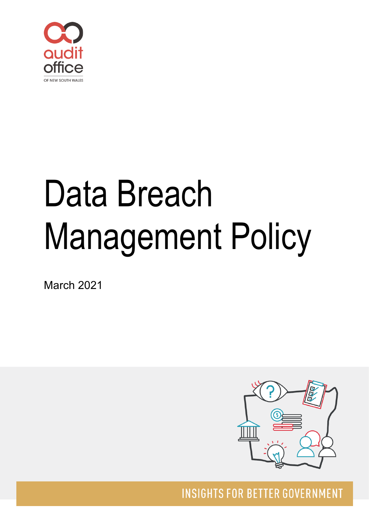

# Data Breach Management Policy

March 2021



**INSIGHTS FOR BETTER GOVERNMENT**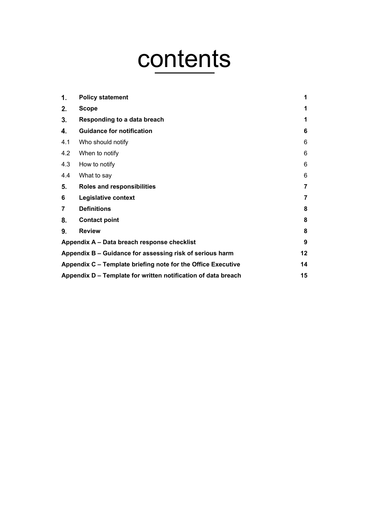# contents

| 1.             | <b>Policy statement</b>                                       | 1              |
|----------------|---------------------------------------------------------------|----------------|
| 2.             | <b>Scope</b>                                                  | 1              |
| 3.             | Responding to a data breach                                   | 1              |
| 4.             | <b>Guidance for notification</b>                              | 6              |
| 4.1            | Who should notify                                             | 6              |
| 4.2            | When to notify                                                | 6              |
| 4.3            | How to notify                                                 | 6              |
| 4.4            | What to say                                                   | 6              |
| 5.             | <b>Roles and responsibilities</b>                             | $\overline{7}$ |
| 6              | Legislative context                                           | 7              |
| $\overline{7}$ | <b>Definitions</b>                                            | 8              |
| 8.             | <b>Contact point</b>                                          | 8              |
| 9.             | <b>Review</b>                                                 | 8              |
|                | Appendix A - Data breach response checklist                   | 9              |
|                | Appendix B - Guidance for assessing risk of serious harm      | 12             |
|                | Appendix C – Template briefing note for the Office Executive  | 14             |
|                | Appendix D – Template for written notification of data breach | 15             |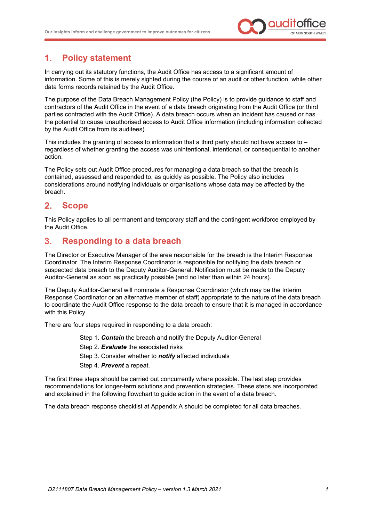

### <span id="page-2-0"></span> $1.$ **Policy statement**

In carrying out its statutory functions, the Audit Office has access to a significant amount of information. Some of this is merely sighted during the course of an audit or other function, while other data forms records retained by the Audit Office.

The purpose of the Data Breach Management Policy (the Policy) is to provide guidance to staff and contractors of the Audit Office in the event of a data breach originating from the Audit Office (or third parties contracted with the Audit Office). A data breach occurs when an incident has caused or has the potential to cause unauthorised access to Audit Office information (including information collected by the Audit Office from its auditees).

This includes the granting of access to information that a third party should not have access to – regardless of whether granting the access was unintentional, intentional, or consequential to another action.

The Policy sets out Audit Office procedures for managing a data breach so that the breach is contained, assessed and responded to, as quickly as possible. The Policy also includes considerations around notifying individuals or organisations whose data may be affected by the breach.

### <span id="page-2-1"></span>**Scope**  $2.$

This Policy applies to all permanent and temporary staff and the contingent workforce employed by the Audit Office.

### <span id="page-2-2"></span> $3<sub>l</sub>$ **Responding to a data breach**

The Director or Executive Manager of the area responsible for the breach is the Interim Response Coordinator. The Interim Response Coordinator is responsible for notifying the data breach or suspected data breach to the Deputy Auditor-General. Notification must be made to the Deputy Auditor-General as soon as practically possible (and no later than within 24 hours).

The Deputy Auditor-General will nominate a Response Coordinator (which may be the Interim Response Coordinator or an alternative member of staff) appropriate to the nature of the data breach to coordinate the Audit Office response to the data breach to ensure that it is managed in accordance with this Policy.

There are four steps required in responding to a data breach:

- Step 1. *Contain* the breach and notify the Deputy Auditor-General
- Step 2. *Evaluate* the associated risks
- Step 3. Consider whether to *notify* affected individuals
- Step 4. *Prevent* a repeat.

The first three steps should be carried out concurrently where possible. The last step provides recommendations for longer-term solutions and prevention strategies. These steps are incorporated and explained in the following flowchart to guide action in the event of a data breach.

The data breach response checklist at Appendix A should be completed for all data breaches*.*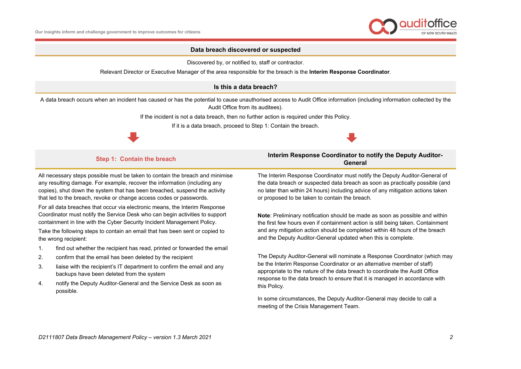

### **Data breach discovered or suspected**

Discovered by, or notified to, staff or contractor.

Relevant Director or Executive Manager of the area responsible for the breach is the **Interim Response Coordinator**.

### **Is this a data breach?**

A data breach occurs when an incident has caused or has the potential to cause unauthorised access to Audit Office information (including information collected by the Audit Office from its auditees).

If the incident is not a data breach, then no further action is required under this Policy.

If it is a data breach, proceed to Step 1: Contain the breach.



### **Step 1: Contain the breach <b>Interim Response Coordinator to notify the Deputy Auditor-General**

All necessary steps possible must be taken to contain the breach and minimise any resulting damage. For example, recover the information (including any copies), shut down the system that has been breached, suspend the activity that led to the breach, revoke or change access codes or passwords.

For all data breaches that occur via electronic means, the Interim Response Coordinator must notify the Service Desk who can begin activities to support containment in line with the Cyber Security Incident Management Policy.

Take the following steps to contain an email that has been sent or copied to the wrong recipient:

- 1. find out whether the recipient has read, printed or forwarded the email
- 2. confirm that the email has been deleted by the recipient
- 3. liaise with the recipient's IT department to confirm the email and any backups have been deleted from the system
- 4. notify the Deputy Auditor-General and the Service Desk as soon as possible.

The Interim Response Coordinator must notify the Deputy Auditor-General of the data breach or suspected data breach as soon as practically possible (and no later than within 24 hours) including advice of any mitigation actions taken or proposed to be taken to contain the breach.

**Note**: Preliminary notification should be made as soon as possible and within the first few hours even if containment action is still being taken. Containment and any mitigation action should be completed within 48 hours of the breach and the Deputy Auditor-General updated when this is complete.

The Deputy Auditor-General will nominate a Response Coordinator (which may be the Interim Response Coordinator or an alternative member of staff) appropriate to the nature of the data breach to coordinate the Audit Office response to the data breach to ensure that it is managed in accordance with this Policy.

In some circumstances, the Deputy Auditor-General may decide to call a meeting of the Crisis Management Team.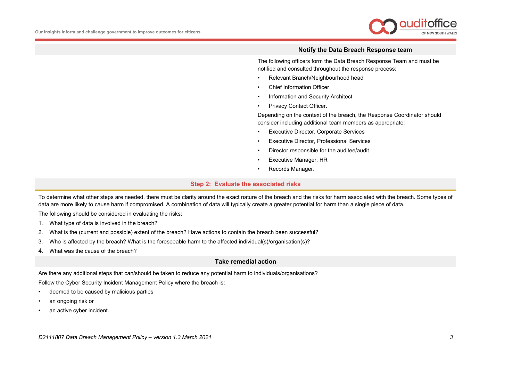

### **Notify the Data Breach Response team**

The following officers form the Data Breach Response Team and must be notified and consulted throughout the response process:

- Relevant Branch/Neighbourhood head
- Chief Information Officer
- Information and Security Architect
- Privacy Contact Officer.

Depending on the context of the breach, the Response Coordinator should consider including additional team members as appropriate:

- Executive Director, Corporate Services
- Executive Director, Professional Services
- Director responsible for the auditee/audit
- Executive Manager, HR
- Records Manager.

### **Step 2: Evaluate the associated risks**

To determine what other steps are needed, there must be clarity around the exact nature of the breach and the risks for harm associated with the breach. Some types of data are more likely to cause harm if compromised. A combination of data will typically create a greater potential for harm than a single piece of data.

The following should be considered in evaluating the risks:

- 1. What type of data is involved in the breach?
- 2. What is the (current and possible) extent of the breach? Have actions to contain the breach been successful?
- 3. Who is affected by the breach? What is the foreseeable harm to the affected individual(s)/organisation(s)?
- 4. What was the cause of the breach?

### **Take remedial action**

Are there any additional steps that can/should be taken to reduce any potential harm to individuals/organisations?

Follow the Cyber Security Incident Management Policy where the breach is:

- deemed to be caused by malicious parties
- an ongoing risk or
- an active cyber incident.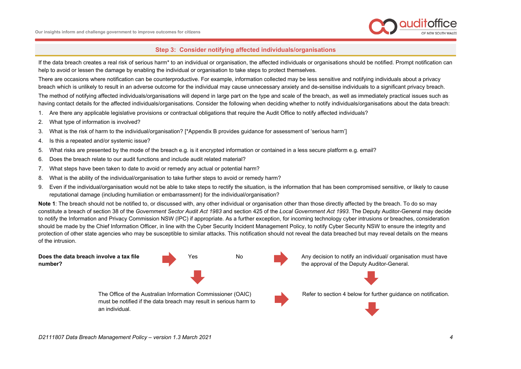

### **Step 3: Consider notifying affected individuals/organisations**

If the data breach creates a real risk of serious harm\* to an individual or organisation, the affected individuals or organisations should be notified. Prompt notification can help to avoid or lessen the damage by enabling the individual or organisation to take steps to protect themselves.

There are occasions where notification can be counterproductive. For example, information collected may be less sensitive and notifying individuals about a privacy breach which is unlikely to result in an adverse outcome for the individual may cause unnecessary anxiety and de-sensitise individuals to a significant privacy breach.

The method of notifying affected individuals/organisations will depend in large part on the type and scale of the breach, as well as immediately practical issues such as having contact details for the affected individuals/organisations. Consider the following when deciding whether to notify individuals/organisations about the data breach:

- 1. Are there any applicable legislative provisions or contractual obligations that require the Audit Office to notify affected individuals?
- 2. What type of information is involved?
- 3. What is the risk of harm to the individual/organisation? [\*Appendix B provides guidance for assessment of 'serious harm']
- 4. Is this a repeated and/or systemic issue?
- 5. What risks are presented by the mode of the breach e.g. is it encrypted information or contained in a less secure platform e.g. email?
- 6. Does the breach relate to our audit functions and include audit related material?
- 7. What steps have been taken to date to avoid or remedy any actual or potential harm?
- 8. What is the ability of the individual/organisation to take further steps to avoid or remedy harm?
- 9. Even if the individual/organisation would not be able to take steps to rectify the situation, is the information that has been compromised sensitive, or likely to cause reputational damage (including humiliation or embarrassment) for the individual/organisation?

Note 1: The breach should not be notified to, or discussed with, any other individual or organisation other than those directly affected by the breach. To do so may constitute a breach of section 38 of the *Government Sector Audit Act 1983* and section 425 of the *Local Government Act 1993*. The Deputy Auditor-General may decide to notify the Information and Privacy Commission NSW (IPC) if appropriate. As a further exception, for incoming technology cyber intrusions or breaches, consideration should be made by the Chief Information Officer, in line with the Cyber Security Incident Management Policy, to notify Cyber Security NSW to ensure the integrity and protection of other state agencies who may be susceptible to similar attacks. This notification should not reveal the data breached but may reveal details on the means of the intrusion.

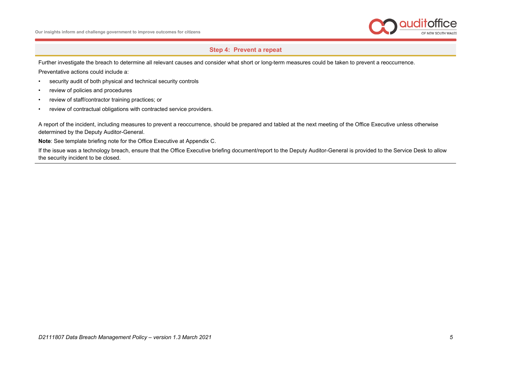

# **Step 4: Prevent a repeat**

Further investigate the breach to determine all relevant causes and consider what short or long-term measures could be taken to prevent a reoccurrence.

Preventative actions could include a:

- security audit of both physical and technical security controls
- review of policies and procedures
- review of staff/contractor training practices; or
- review of contractual obligations with contracted service providers.

A report of the incident, including measures to prevent a reoccurrence, should be prepared and tabled at the next meeting of the Office Executive unless otherwise determined by the Deputy Auditor-General.

**Note**: See template briefing note for the Office Executive at Appendix C.

If the issue was a technology breach, ensure that the Office Executive briefing document/report to the Deputy Auditor-General is provided to the Service Desk to allow the security incident to be closed.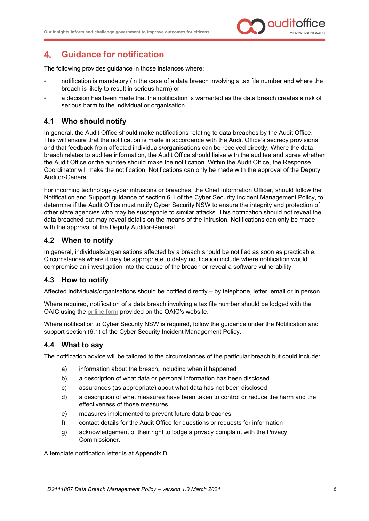

### <span id="page-7-0"></span>4. **Guidance for notification**

The following provides guidance in those instances where:

- notification is mandatory (in the case of a data breach involving a tax file number and where the breach is likely to result in serious harm) or
- a decision has been made that the notification is warranted as the data breach creates a risk of serious harm to the individual or organisation.

# <span id="page-7-1"></span>**4.1 Who should notify**

In general, the Audit Office should make notifications relating to data breaches by the Audit Office. This will ensure that the notification is made in accordance with the Audit Office's secrecy provisions and that feedback from affected individuals/organisations can be received directly. Where the data breach relates to auditee information, the Audit Office should liaise with the auditee and agree whether the Audit Office or the auditee should make the notification. Within the Audit Office, the Response Coordinator will make the notification. Notifications can only be made with the approval of the Deputy Auditor-General.

For incoming technology cyber intrusions or breaches, the Chief Information Officer, should follow the Notification and Support guidance of section 6.1 of the Cyber Security Incident Management Policy, to determine if the Audit Office must notify Cyber Security NSW to ensure the integrity and protection of other state agencies who may be susceptible to similar attacks. This notification should not reveal the data breached but may reveal details on the means of the intrusion. Notifications can only be made with the approval of the Deputy Auditor-General.

# <span id="page-7-2"></span>**4.2 When to notify**

In general, individuals/organisations affected by a breach should be notified as soon as practicable. Circumstances where it may be appropriate to delay notification include where notification would compromise an investigation into the cause of the breach or reveal a software vulnerability.

# <span id="page-7-3"></span>**4.3 How to notify**

Affected individuals/organisations should be notified directly – by telephone, letter, email or in person.

Where required, notification of a data breach involving a tax file number should be lodged with the OAIC using the [online form](https://forms.business.gov.au/smartforms/servlet/SmartForm.html?formCode=OAIC-NDB) provided on the OAIC's website.

Where notification to Cyber Security NSW is required, follow the guidance under the Notification and support section (6.1) of the Cyber Security Incident Management Policy.

# <span id="page-7-4"></span>**4.4 What to say**

The notification advice will be tailored to the circumstances of the particular breach but could include:

- a) information about the breach, including when it happened
- b) a description of what data or personal information has been disclosed
- c) assurances (as appropriate) about what data has not been disclosed
- d) a description of what measures have been taken to control or reduce the harm and the effectiveness of those measures
- e) measures implemented to prevent future data breaches
- f) contact details for the Audit Office for questions or requests for information
- g) acknowledgement of their right to lodge a privacy complaint with the Privacy Commissioner.

A template notification letter is at Appendix D.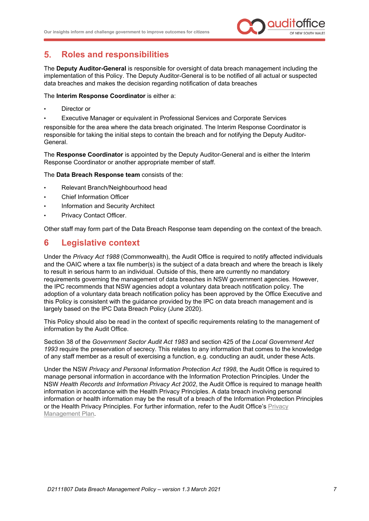

### <span id="page-8-0"></span>5. **Roles and responsibilities**

The **Deputy Auditor-General** is responsible for oversight of data breach management including the implementation of this Policy. The Deputy Auditor-General is to be notified of all actual or suspected data breaches and makes the decision regarding notification of data breaches

The **Interim Response Coordinator** is either a:

- Director or
- Executive Manager or equivalent in Professional Services and Corporate Services

responsible for the area where the data breach originated. The Interim Response Coordinator is responsible for taking the initial steps to contain the breach and for notifying the Deputy Auditor-General.

The **Response Coordinator** is appointed by the Deputy Auditor-General and is either the Interim Response Coordinator or another appropriate member of staff.

The **Data Breach Response team** consists of the:

- Relevant Branch/Neighbourhood head
- Chief Information Officer
- Information and Security Architect
- Privacy Contact Officer.

Other staff may form part of the Data Breach Response team depending on the context of the breach.

# <span id="page-8-1"></span>**6 Legislative context**

Under the *Privacy Act 1988* (Commonwealth), the Audit Office is required to notify affected individuals and the OAIC where a tax file number(s) is the subject of a data breach and where the breach is likely to result in serious harm to an individual. Outside of this, there are currently no mandatory requirements governing the management of data breaches in NSW government agencies. However, the IPC recommends that NSW agencies adopt a voluntary data breach notification policy. The adoption of a voluntary data breach notification policy has been approved by the Office Executive and this Policy is consistent with the guidance provided by the IPC on data breach management and is largely based on the IPC Data Breach Policy (June 2020).

This Policy should also be read in the context of specific requirements relating to the management of information by the Audit Office.

Section 38 of the *Government Sector Audit Act 1983* and section 425 of the *Local Government Act 1993* require the preservation of secrecy. This relates to any information that comes to the knowledge of any staff member as a result of exercising a function, e.g. conducting an audit, under these Acts.

Under the NSW *Privacy and Personal Information Protection Act 1998*, the Audit Office is required to manage personal information in accordance with the Information Protection Principles. Under the NSW *Health Records and Information Privacy Act 2002*, the Audit Office is required to manage health information in accordance with the Health Privacy Principles. A data breach involving personal information or health information may be the result of a breach of the Information Protection Principles or the Health Privacy Principles. For further information, refer to the Audit Office's [Privacy](https://www.audit.nsw.gov.au/sites/default/files/documents/Privacy%20Management%20Plan%20-%20March%202020.pdf)  [Management Plan.](https://www.audit.nsw.gov.au/sites/default/files/documents/Privacy%20Management%20Plan%20-%20March%202020.pdf)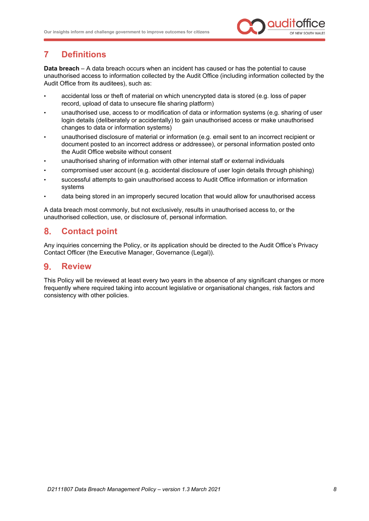

# <span id="page-9-0"></span>**7 Definitions**

**Data breach** – A data breach occurs when an incident has caused or has the potential to cause unauthorised access to information collected by the Audit Office (including information collected by the Audit Office from its auditees), such as:

- accidental loss or theft of material on which unencrypted data is stored (e.g. loss of paper record, upload of data to unsecure file sharing platform)
- unauthorised use, access to or modification of data or information systems (e.g. sharing of user login details (deliberately or accidentally) to gain unauthorised access or make unauthorised changes to data or information systems)
- unauthorised disclosure of material or information (e.g. email sent to an incorrect recipient or document posted to an incorrect address or addressee), or personal information posted onto the Audit Office website without consent
- unauthorised sharing of information with other internal staff or external individuals
- compromised user account (e.g. accidental disclosure of user login details through phishing)
- successful attempts to gain unauthorised access to Audit Office information or information systems
- data being stored in an improperly secured location that would allow for unauthorised access

A data breach most commonly, but not exclusively, results in unauthorised access to, or the unauthorised collection, use, or disclosure of, personal information.

### <span id="page-9-1"></span>8. **Contact point**

Any inquiries concerning the Policy, or its application should be directed to the Audit Office's Privacy Contact Officer (the Executive Manager, Governance (Legal)).

### <span id="page-9-2"></span>**Review**  $9<sub>1</sub>$

This Policy will be reviewed at least every two years in the absence of any significant changes or more frequently where required taking into account legislative or organisational changes, risk factors and consistency with other policies.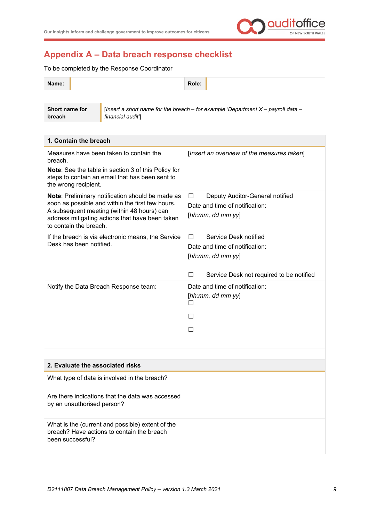

# <span id="page-10-0"></span>**Appendix A – Data breach response checklist**

To be completed by the Response Coordinator

| Name: | Role: |  |
|-------|-------|--|
|       |       |  |

| Short name for | <b>If Insert a short name for the breach</b> – for example 'Department $X$ – payroll data – |
|----------------|---------------------------------------------------------------------------------------------|
| breach         | financial audit1                                                                            |

| 1. Contain the breach                                                                                                                                                                                                           |                                                                                                                                         |
|---------------------------------------------------------------------------------------------------------------------------------------------------------------------------------------------------------------------------------|-----------------------------------------------------------------------------------------------------------------------------------------|
| Measures have been taken to contain the<br>breach.<br>Note: See the table in section 3 of this Policy for<br>steps to contain an email that has been sent to<br>the wrong recipient.                                            | [Insert an overview of the measures taken]                                                                                              |
| Note: Preliminary notification should be made as<br>soon as possible and within the first few hours.<br>A subsequent meeting (within 48 hours) can<br>address mitigating actions that have been taken<br>to contain the breach. | Deputy Auditor-General notified<br>$\Box$<br>Date and time of notification:<br>[hh:mm, dd mm yy]                                        |
| If the breach is via electronic means, the Service<br>Desk has been notified.                                                                                                                                                   | Service Desk notified<br>$\Box$<br>Date and time of notification:<br>[hh:mm, dd mm yy]<br>П<br>Service Desk not required to be notified |
| Notify the Data Breach Response team:                                                                                                                                                                                           | Date and time of notification:<br>[hh:mm, dd mm yy]<br>$\Box$<br>П<br>П                                                                 |
| 2. Evaluate the associated risks                                                                                                                                                                                                |                                                                                                                                         |
| What type of data is involved in the breach?                                                                                                                                                                                    |                                                                                                                                         |
| Are there indications that the data was accessed<br>by an unauthorised person?                                                                                                                                                  |                                                                                                                                         |
| What is the (current and possible) extent of the<br>breach? Have actions to contain the breach<br>been successful?                                                                                                              |                                                                                                                                         |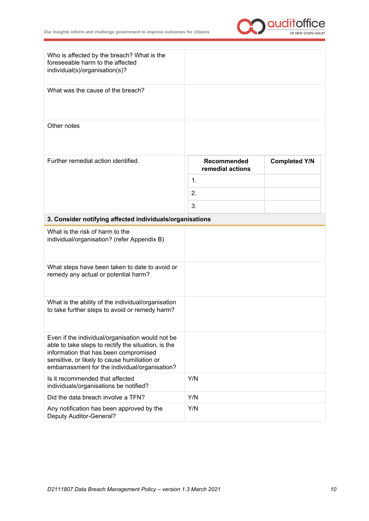

| Who is affected by the breach? What is the<br>foreseeable harm to the affected<br>individual(s)/organisation(s)? |                                 |                      |
|------------------------------------------------------------------------------------------------------------------|---------------------------------|----------------------|
| What was the cause of the breach?                                                                                |                                 |                      |
| Other notes                                                                                                      |                                 |                      |
| Further remedial action identified.                                                                              | Recommended<br>remedial actions | <b>Completed Y/N</b> |
|                                                                                                                  | $\mathbf{1}$ .                  |                      |
|                                                                                                                  | 2.                              |                      |
|                                                                                                                  | 3.                              |                      |
| 3. Consider notifying affected individuals/organisations                                                         |                                 |                      |
| What is the risk of harm to the<br>individual/organisation? (refer Appendix B)                                   |                                 |                      |
| What steps have been taken to date to avoid or<br>remedy any actual or potential harm?                           |                                 |                      |
| $10.0$ k at the there is better and the subset of the distribution of $\sim 40$ .                                |                                 |                      |

| What is the ability of the individual/organisation<br>to take further steps to avoid or remedy harm?                                                                                                                                               |     |
|----------------------------------------------------------------------------------------------------------------------------------------------------------------------------------------------------------------------------------------------------|-----|
| Even if the individual/organisation would not be<br>able to take steps to rectify the situation, is the<br>information that has been compromised<br>sensitive, or likely to cause humiliation or<br>embarrassment for the individual/organisation? |     |
| Is it recommended that affected<br>individuals/organisations be notified?                                                                                                                                                                          | Y/N |
| Did the data breach involve a TFN?                                                                                                                                                                                                                 | Y/N |
| Any notification has been approved by the<br><b>Deputy Auditor-General?</b>                                                                                                                                                                        | Y/N |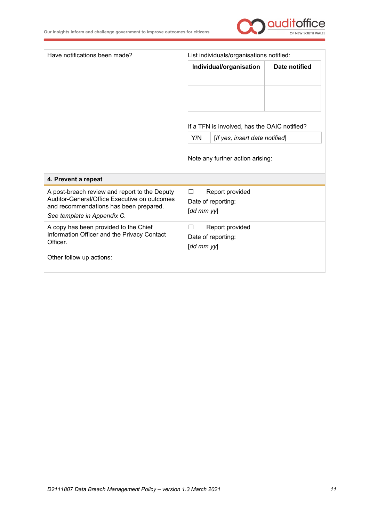

| Have notifications been made?                                                          | List individuals/organisations notified:     |  |  |
|----------------------------------------------------------------------------------------|----------------------------------------------|--|--|
|                                                                                        | Individual/organisation<br>Date notified     |  |  |
|                                                                                        |                                              |  |  |
|                                                                                        |                                              |  |  |
|                                                                                        |                                              |  |  |
|                                                                                        |                                              |  |  |
|                                                                                        | If a TFN is involved, has the OAIC notified? |  |  |
|                                                                                        | Y/N<br>[If yes, insert date notified]        |  |  |
|                                                                                        |                                              |  |  |
|                                                                                        | Note any further action arising:             |  |  |
|                                                                                        |                                              |  |  |
| 4. Prevent a repeat                                                                    |                                              |  |  |
| A post-breach review and report to the Deputy                                          | Report provided<br>$\Box$                    |  |  |
| Auditor-General/Office Executive on outcomes<br>and recommendations has been prepared. | Date of reporting:                           |  |  |
| See template in Appendix C.                                                            | $[dd \, mm \, yy]$                           |  |  |
| A copy has been provided to the Chief                                                  | Report provided                              |  |  |
| Information Officer and the Privacy Contact<br>Officer.                                | Date of reporting:                           |  |  |
|                                                                                        | $[dd \, mm \, yy]$                           |  |  |
| Other follow up actions:                                                               |                                              |  |  |
|                                                                                        |                                              |  |  |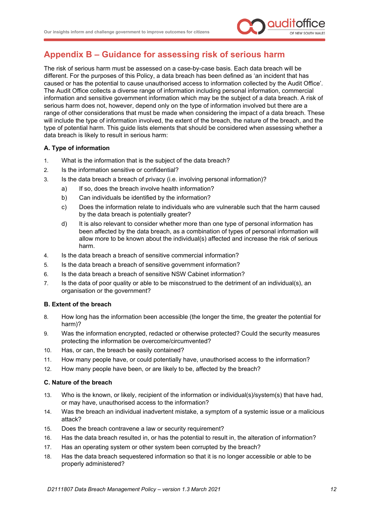

# <span id="page-13-0"></span>**Appendix B – Guidance for assessing risk of serious harm**

The risk of serious harm must be assessed on a case-by-case basis. Each data breach will be different. For the purposes of this Policy, a data breach has been defined as 'an incident that has caused or has the potential to cause unauthorised access to information collected by the Audit Office'. The Audit Office collects a diverse range of information including personal information, commercial information and sensitive government information which may be the subject of a data breach. A risk of serious harm does not, however, depend only on the type of information involved but there are a range of other considerations that must be made when considering the impact of a data breach. These will include the type of information involved, the extent of the breach, the nature of the breach, and the type of potential harm. This guide lists elements that should be considered when assessing whether a data breach is likely to result in serious harm:

# **A. Type of information**

- 1. What is the information that is the subject of the data breach?
- 2. Is the information sensitive or confidential?
- 3. Is the data breach a breach of privacy (i.e. involving personal information)?
	- a) If so, does the breach involve health information?
	- b) Can individuals be identified by the information?
	- c) Does the information relate to individuals who are vulnerable such that the harm caused by the data breach is potentially greater?
	- d) It is also relevant to consider whether more than one type of personal information has been affected by the data breach, as a combination of types of personal information will allow more to be known about the individual(s) affected and increase the risk of serious harm.
- 4. Is the data breach a breach of sensitive commercial information?
- 5. Is the data breach a breach of sensitive government information?
- 6. Is the data breach a breach of sensitive NSW Cabinet information?
- 7. Is the data of poor quality or able to be misconstrued to the detriment of an individual(s), an organisation or the government?

# **B. Extent of the breach**

- 8. How long has the information been accessible (the longer the time, the greater the potential for harm)?
- 9. Was the information encrypted, redacted or otherwise protected? Could the security measures protecting the information be overcome/circumvented?
- 10. Has, or can, the breach be easily contained?
- 11. How many people have, or could potentially have, unauthorised access to the information?
- 12. How many people have been, or are likely to be, affected by the breach?

# **C. Nature of the breach**

- 13. Who is the known, or likely, recipient of the information or individual(s)/system(s) that have had, or may have, unauthorised access to the information?
- 14. Was the breach an individual inadvertent mistake, a symptom of a systemic issue or a malicious attack?
- 15. Does the breach contravene a law or security requirement?
- 16. Has the data breach resulted in, or has the potential to result in, the alteration of information?
- 17. Has an operating system or other system been corrupted by the breach?
- 18. Has the data breach sequestered information so that it is no longer accessible or able to be properly administered?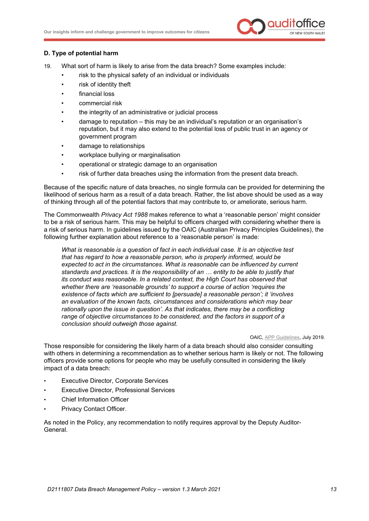

## **D. Type of potential harm**

- 19. What sort of harm is likely to arise from the data breach? Some examples include:
	- risk to the physical safety of an individual or individuals
	- risk of identity theft
	- financial loss
	- commercial risk
	- the integrity of an administrative or judicial process
	- damage to reputation this may be an individual's reputation or an organisation's reputation, but it may also extend to the potential loss of public trust in an agency or government program
	- damage to relationships
	- workplace bullying or marginalisation
	- operational or strategic damage to an organisation
	- risk of further data breaches using the information from the present data breach.

Because of the specific nature of data breaches, no single formula can be provided for determining the likelihood of serious harm as a result of a data breach. Rather, the list above should be used as a way of thinking through all of the potential factors that may contribute to, or ameliorate, serious harm.

The Commonwealth *Privacy Act 1988* makes reference to what a 'reasonable person' might consider to be a risk of serious harm. This may be helpful to officers charged with considering whether there is a risk of serious harm. In [guidelines](https://www.oaic.gov.au/agencies-and-organisations/app-guidelines/chapter-b-key-concepts#reasonable-reasonably) issued by the OAIC (Australian Privacy Principles Guidelines), the following further explanation about reference to a 'reasonable person' is made:

*What is reasonable is a question of fact in each individual case. It is an objective test that has regard to how a reasonable person, who is properly informed, would be expected to act in the circumstances. What is reasonable can be influenced by current standards and practices. It is the responsibility of an … entity to be able to justify that its conduct was reasonable. In a related context, the High Court has observed that whether there are 'reasonable grounds' to support a course of action 'requires the existence of facts which are sufficient to [persuade] a reasonable person'; it 'involves an evaluation of the known facts, circumstances and considerations which may bear rationally upon the issue in question'. As that indicates, there may be a conflicting range of objective circumstances to be considered, and the factors in support of a conclusion should outweigh those against.*

### OAIC[, APP Guidelines,](https://www.oaic.gov.au/agencies-and-organisations/app-guidelines/chapter-b-key-concepts#reasonable-reasonably) July 2019.

Those responsible for considering the likely harm of a data breach should also consider consulting with others in determining a recommendation as to whether serious harm is likely or not. The following officers provide some options for people who may be usefully consulted in considering the likely impact of a data breach:

- Executive Director, Corporate Services
- Executive Director, Professional Services
- Chief Information Officer
- Privacy Contact Officer.

As noted in the Policy, any recommendation to notify requires approval by the Deputy Auditor-General.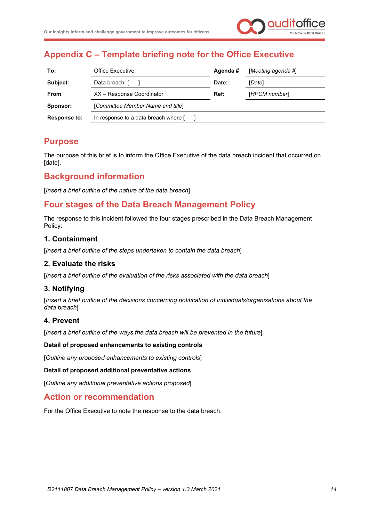

# <span id="page-15-0"></span>**Appendix C – Template briefing note for the Office Executive**

| <b>Office Executive</b>              | Agenda# | [Meeting agenda #] |
|--------------------------------------|---------|--------------------|
| Data breach: [                       | Date:   | [Date]             |
| XX - Response Coordinator            | Ref:    | [HPCM number]      |
| [Committee Member Name and title]    |         |                    |
| In response to a data breach where [ |         |                    |
|                                      |         |                    |

# **Purpose**

The purpose of this brief is to inform the Office Executive of the data breach incident that occurred on [date].

# **Background information**

[*Insert a brief outline of the nature of the data breach*]

# **Four stages of the Data Breach Management Policy**

The response to this incident followed the four stages prescribed in the Data Breach Management Policy:

# **1. Containment**

[*Insert a brief outline of the steps undertaken to contain the data breach*]

# **2. Evaluate the risks**

[*Insert a brief outline of the evaluation of the risks associated with the data breach*]

# **3. Notifying**

[*Insert a brief outline of the decisions concerning notification of individuals/organisations about the data breach*]

# **4. Prevent**

[*Insert a brief outline of the ways the data breach will be prevented in the future*]

# **Detail of proposed enhancements to existing controls**

[*Outline any proposed enhancements to existing controls*]

### **Detail of proposed additional preventative actions**

[*Outline any additional preventative actions proposed*]

# **Action or recommendation**

For the Office Executive to note the response to the data breach.